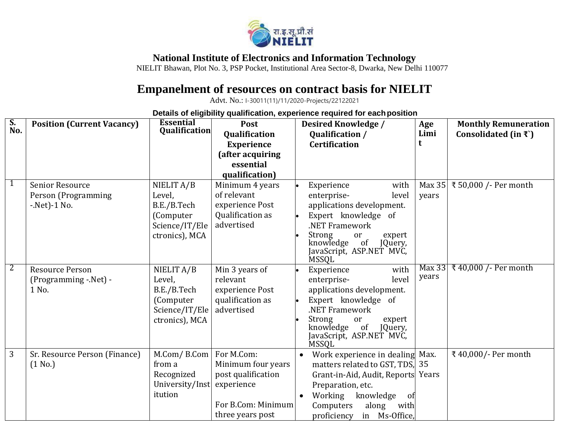

## **National Institute of Electronics and Information Technology**

NIELIT Bhawan, Plot No. 3, PSP Pocket, Institutional Area Sector-8, Dwarka, New Delhi 110077

## **Empanelment of resources on contract basis for NIELIT**

Advt. No.: I-30011(11)/11/2020-Projects/22122021

**Details of eligibility qualification, experience required for eachposition**

| S.<br>No.      | <b>Position (Current Vacancy)</b> | <b>Essential</b>     | Post                 | Age<br><b>Desired Knowledge /</b><br><b>Monthly Remuneration</b>     |  |
|----------------|-----------------------------------|----------------------|----------------------|----------------------------------------------------------------------|--|
|                |                                   | <b>Qualification</b> | <b>Qualification</b> | Limi<br>Consolidated (in $\mathfrak{F}$ )<br>Qualification /         |  |
|                |                                   |                      | <b>Experience</b>    | <b>Certification</b>                                                 |  |
|                |                                   |                      | (after acquiring     |                                                                      |  |
|                |                                   |                      | essential            |                                                                      |  |
|                |                                   |                      | qualification)       |                                                                      |  |
| $\mathbf{1}$   | Senior Resource                   | NIELIT A/B           | Minimum 4 years      | ₹ 50,000 / - Per month<br>Experience<br>with<br>Max $35$             |  |
|                | Person (Programming               | Level,               | of relevant          | enterprise-<br>level<br>years                                        |  |
|                | $-$ Net $)-1$ No.                 | B.E./B.Tech          | experience Post      | applications development.                                            |  |
|                |                                   | (Computer            | Qualification as     | Expert knowledge of                                                  |  |
|                |                                   | Science/IT/Ele       | advertised           | .NET Framework                                                       |  |
|                |                                   | ctronics), MCA       |                      | Strong<br>expert<br>or                                               |  |
|                |                                   |                      |                      | of<br>knowledge<br>JQuery,                                           |  |
|                |                                   |                      |                      | JavaScript, ASP.NET MVC,<br><b>MSSQL</b>                             |  |
| $\overline{2}$ | <b>Resource Person</b>            | NIELIT A/B           | Min 3 years of       | ₹40,000 / - Per month<br>Max 33<br>with<br>Experience                |  |
|                | (Programming -.Net) -             | Level,               | relevant             | years<br>enterprise-<br>level                                        |  |
|                | 1 No.                             | B.E./B.Tech          | experience Post      | applications development.                                            |  |
|                |                                   | (Computer            | qualification as     | Expert knowledge of                                                  |  |
|                |                                   | Science/IT/Ele       | advertised           | .NET Framework                                                       |  |
|                |                                   | ctronics), MCA       |                      | Strong<br>expert<br>or                                               |  |
|                |                                   |                      |                      | of<br>knowledge<br>JQuery,                                           |  |
|                |                                   |                      |                      | JavaScript, ASP.NET MVC,<br><b>MSSQL</b>                             |  |
| 3              | Sr. Resource Person (Finance)     | M.Com/B.Com          | For M.Com:           | ₹ 40,000/- Per month<br>Work experience in dealing Max.<br>$\bullet$ |  |
|                | (1 No.)                           | from a               | Minimum four years   | matters related to GST, TDS,<br>35                                   |  |
|                |                                   | Recognized           | post qualification   | Grant-in-Aid, Audit, Reports<br>Years                                |  |
|                |                                   | University/Inst      | experience           | Preparation, etc.                                                    |  |
|                |                                   | itution              |                      | Working<br>knowledge                                                 |  |
|                |                                   |                      | For B.Com: Minimum   | of<br>Computers                                                      |  |
|                |                                   |                      |                      | along<br>with                                                        |  |
|                |                                   |                      | three years post     | proficiency<br>in Ms-Office,                                         |  |